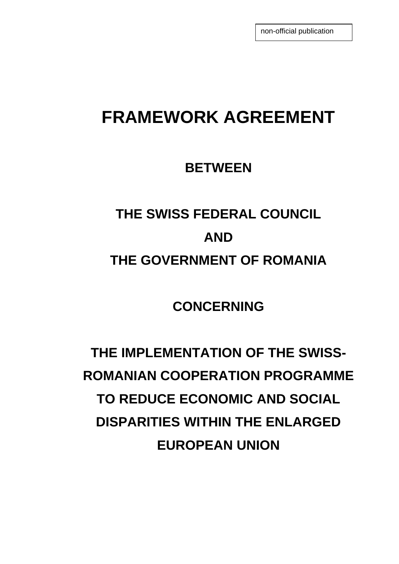non-official publication

## **FRAMEWORK AGREEMENT**

### **BETWEEN**

# **THE SWISS FEDERAL COUNCIL AND THE GOVERNMENT OF ROMANIA**

**CONCERNING** 

**THE IMPLEMENTATION OF THE SWISS-ROMANIAN COOPERATION PROGRAMME TO REDUCE ECONOMIC AND SOCIAL DISPARITIES WITHIN THE ENLARGED EUROPEAN UNION**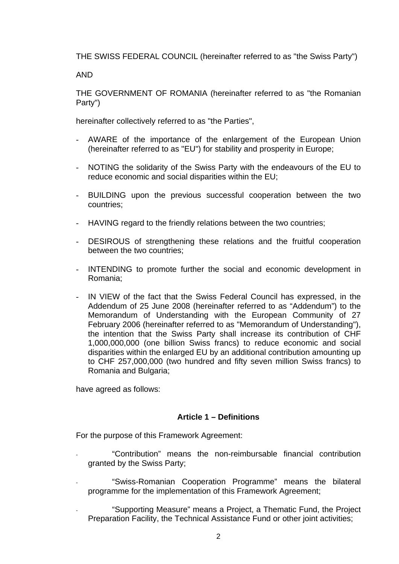THE SWISS FEDERAL COUNCIL (hereinafter referred to as "the Swiss Party")

AND

THE GOVERNMENT OF ROMANIA (hereinafter referred to as "the Romanian Party")

hereinafter collectively referred to as "the Parties",

- AWARE of the importance of the enlargement of the European Union (hereinafter referred to as "EU") for stability and prosperity in Europe;
- NOTING the solidarity of the Swiss Party with the endeavours of the EU to reduce economic and social disparities within the EU;
- BUILDING upon the previous successful cooperation between the two countries;
- HAVING regard to the friendly relations between the two countries;
- DESIROUS of strengthening these relations and the fruitful cooperation between the two countries;
- INTENDING to promote further the social and economic development in Romania;
- IN VIEW of the fact that the Swiss Federal Council has expressed, in the Addendum of 25 June 2008 (hereinafter referred to as "Addendum") to the Memorandum of Understanding with the European Community of 27 February 2006 (hereinafter referred to as "Memorandum of Understanding"), the intention that the Swiss Party shall increase its contribution of CHF 1,000,000,000 (one billion Swiss francs) to reduce economic and social disparities within the enlarged EU by an additional contribution amounting up to CHF 257,000,000 (two hundred and fifty seven million Swiss francs) to Romania and Bulgaria;

have agreed as follows:

#### **Article 1 – Definitions**

For the purpose of this Framework Agreement:

- "Contribution" means the non-reimbursable financial contribution granted by the Swiss Party;
- "Swiss-Romanian Cooperation Programme" means the bilateral programme for the implementation of this Framework Agreement;
- "Supporting Measure" means a Project, a Thematic Fund, the Project Preparation Facility, the Technical Assistance Fund or other joint activities;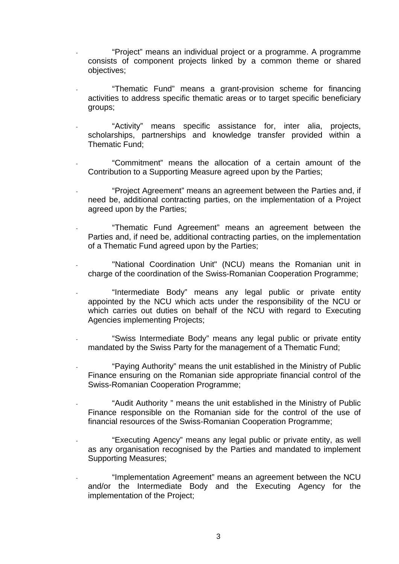- "Project" means an individual project or a programme. A programme consists of component projects linked by a common theme or shared objectives;
- "Thematic Fund" means a grant-provision scheme for financing activities to address specific thematic areas or to target specific beneficiary groups;
- "Activity" means specific assistance for, inter alia, projects, scholarships, partnerships and knowledge transfer provided within a Thematic Fund;
- "Commitment" means the allocation of a certain amount of the Contribution to a Supporting Measure agreed upon by the Parties;
- "Project Agreement" means an agreement between the Parties and, if need be, additional contracting parties, on the implementation of a Project agreed upon by the Parties;
- "Thematic Fund Agreement" means an agreement between the Parties and, if need be, additional contracting parties, on the implementation of a Thematic Fund agreed upon by the Parties;
- "National Coordination Unit" (NCU) means the Romanian unit in charge of the coordination of the Swiss-Romanian Cooperation Programme;
- "Intermediate Body" means any legal public or private entity appointed by the NCU which acts under the responsibility of the NCU or which carries out duties on behalf of the NCU with regard to Executing Agencies implementing Projects;
- "Swiss Intermediate Body" means any legal public or private entity mandated by the Swiss Party for the management of a Thematic Fund;
- "Paying Authority" means the unit established in the Ministry of Public Finance ensuring on the Romanian side appropriate financial control of the Swiss-Romanian Cooperation Programme;
- "Audit Authority" means the unit established in the Ministry of Public Finance responsible on the Romanian side for the control of the use of financial resources of the Swiss-Romanian Cooperation Programme;
- "Executing Agency" means any legal public or private entity, as well as any organisation recognised by the Parties and mandated to implement Supporting Measures;
- "Implementation Agreement" means an agreement between the NCU and/or the Intermediate Body and the Executing Agency for the implementation of the Project;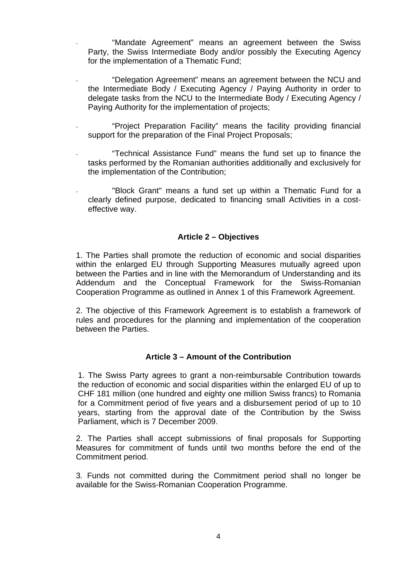- "Mandate Agreement" means an agreement between the Swiss Party, the Swiss Intermediate Body and/or possibly the Executing Agency for the implementation of a Thematic Fund;
- "Delegation Agreement" means an agreement between the NCU and the Intermediate Body / Executing Agency / Paying Authority in order to delegate tasks from the NCU to the Intermediate Body / Executing Agency / Paying Authority for the implementation of projects;
- "Project Preparation Facility" means the facility providing financial support for the preparation of the Final Project Proposals;
- "Technical Assistance Fund" means the fund set up to finance the tasks performed by the Romanian authorities additionally and exclusively for the implementation of the Contribution;
- "Block Grant" means a fund set up within a Thematic Fund for a clearly defined purpose, dedicated to financing small Activities in a costeffective way.

#### **Article 2 – Objectives**

1. The Parties shall promote the reduction of economic and social disparities within the enlarged EU through Supporting Measures mutually agreed upon between the Parties and in line with the Memorandum of Understanding and its Addendum and the Conceptual Framework for the Swiss-Romanian Cooperation Programme as outlined in Annex 1 of this Framework Agreement.

2. The objective of this Framework Agreement is to establish a framework of rules and procedures for the planning and implementation of the cooperation between the Parties.

#### **Article 3 – Amount of the Contribution**

1. The Swiss Party agrees to grant a non-reimbursable Contribution towards the reduction of economic and social disparities within the enlarged EU of up to CHF 181 million (one hundred and eighty one million Swiss francs) to Romania for a Commitment period of five years and a disbursement period of up to 10 years, starting from the approval date of the Contribution by the Swiss Parliament, which is 7 December 2009.

2. The Parties shall accept submissions of final proposals for Supporting Measures for commitment of funds until two months before the end of the Commitment period.

3. Funds not committed during the Commitment period shall no longer be available for the Swiss-Romanian Cooperation Programme.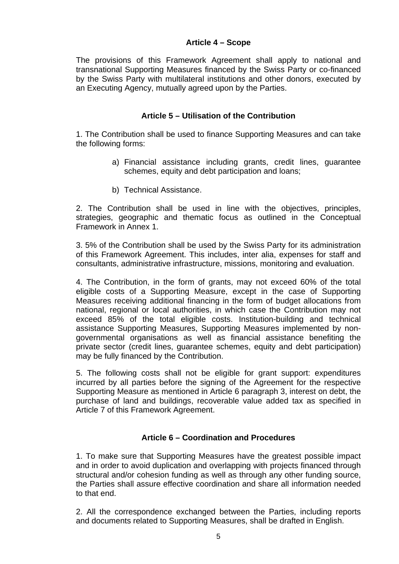#### **Article 4 – Scope**

The provisions of this Framework Agreement shall apply to national and transnational Supporting Measures financed by the Swiss Party or co-financed by the Swiss Party with multilateral institutions and other donors, executed by an Executing Agency, mutually agreed upon by the Parties.

#### **Article 5 – Utilisation of the Contribution**

1. The Contribution shall be used to finance Supporting Measures and can take the following forms:

- a) Financial assistance including grants, credit lines, guarantee schemes, equity and debt participation and loans;
- b) Technical Assistance.

2. The Contribution shall be used in line with the objectives, principles, strategies, geographic and thematic focus as outlined in the Conceptual Framework in Annex 1.

3. 5% of the Contribution shall be used by the Swiss Party for its administration of this Framework Agreement. This includes, inter alia, expenses for staff and consultants, administrative infrastructure, missions, monitoring and evaluation.

4. The Contribution, in the form of grants, may not exceed 60% of the total eligible costs of a Supporting Measure, except in the case of Supporting Measures receiving additional financing in the form of budget allocations from national, regional or local authorities, in which case the Contribution may not exceed 85% of the total eligible costs. Institution-building and technical assistance Supporting Measures, Supporting Measures implemented by nongovernmental organisations as well as financial assistance benefiting the private sector (credit lines, guarantee schemes, equity and debt participation) may be fully financed by the Contribution.

5. The following costs shall not be eligible for grant support: expenditures incurred by all parties before the signing of the Agreement for the respective Supporting Measure as mentioned in Article 6 paragraph 3, interest on debt, the purchase of land and buildings, recoverable value added tax as specified in Article 7 of this Framework Agreement.

#### **Article 6 – Coordination and Procedures**

1. To make sure that Supporting Measures have the greatest possible impact and in order to avoid duplication and overlapping with projects financed through structural and/or cohesion funding as well as through any other funding source, the Parties shall assure effective coordination and share all information needed to that end.

2. All the correspondence exchanged between the Parties, including reports and documents related to Supporting Measures, shall be drafted in English.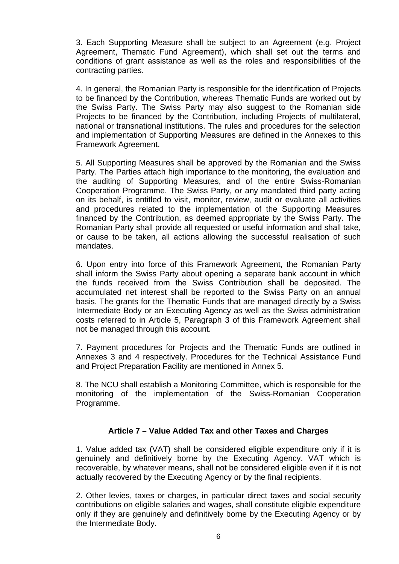3. Each Supporting Measure shall be subject to an Agreement (e.g. Project Agreement, Thematic Fund Agreement), which shall set out the terms and conditions of grant assistance as well as the roles and responsibilities of the contracting parties.

4. In general, the Romanian Party is responsible for the identification of Projects to be financed by the Contribution, whereas Thematic Funds are worked out by the Swiss Party. The Swiss Party may also suggest to the Romanian side Projects to be financed by the Contribution, including Projects of multilateral, national or transnational institutions. The rules and procedures for the selection and implementation of Supporting Measures are defined in the Annexes to this Framework Agreement.

5. All Supporting Measures shall be approved by the Romanian and the Swiss Party. The Parties attach high importance to the monitoring, the evaluation and the auditing of Supporting Measures, and of the entire Swiss-Romanian Cooperation Programme. The Swiss Party, or any mandated third party acting on its behalf, is entitled to visit, monitor, review, audit or evaluate all activities and procedures related to the implementation of the Supporting Measures financed by the Contribution, as deemed appropriate by the Swiss Party. The Romanian Party shall provide all requested or useful information and shall take, or cause to be taken, all actions allowing the successful realisation of such mandates.

6. Upon entry into force of this Framework Agreement, the Romanian Party shall inform the Swiss Party about opening a separate bank account in which the funds received from the Swiss Contribution shall be deposited. The accumulated net interest shall be reported to the Swiss Party on an annual basis. The grants for the Thematic Funds that are managed directly by a Swiss Intermediate Body or an Executing Agency as well as the Swiss administration costs referred to in Article 5, Paragraph 3 of this Framework Agreement shall not be managed through this account.

7. Payment procedures for Projects and the Thematic Funds are outlined in Annexes 3 and 4 respectively. Procedures for the Technical Assistance Fund and Project Preparation Facility are mentioned in Annex 5.

8. The NCU shall establish a Monitoring Committee, which is responsible for the monitoring of the implementation of the Swiss-Romanian Cooperation Programme.

#### **Article 7 – Value Added Tax and other Taxes and Charges**

1. Value added tax (VAT) shall be considered eligible expenditure only if it is genuinely and definitively borne by the Executing Agency. VAT which is recoverable, by whatever means, shall not be considered eligible even if it is not actually recovered by the Executing Agency or by the final recipients.

2. Other levies, taxes or charges, in particular direct taxes and social security contributions on eligible salaries and wages, shall constitute eligible expenditure only if they are genuinely and definitively borne by the Executing Agency or by the Intermediate Body.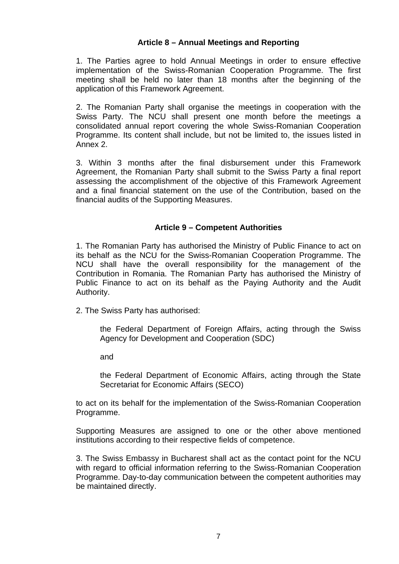#### **Article 8 – Annual Meetings and Reporting**

1. The Parties agree to hold Annual Meetings in order to ensure effective implementation of the Swiss-Romanian Cooperation Programme. The first meeting shall be held no later than 18 months after the beginning of the application of this Framework Agreement.

2. The Romanian Party shall organise the meetings in cooperation with the Swiss Party. The NCU shall present one month before the meetings a consolidated annual report covering the whole Swiss-Romanian Cooperation Programme. Its content shall include, but not be limited to, the issues listed in Annex 2.

3. Within 3 months after the final disbursement under this Framework Agreement, the Romanian Party shall submit to the Swiss Party a final report assessing the accomplishment of the objective of this Framework Agreement and a final financial statement on the use of the Contribution, based on the financial audits of the Supporting Measures.

#### **Article 9 – Competent Authorities**

1. The Romanian Party has authorised the Ministry of Public Finance to act on its behalf as the NCU for the Swiss-Romanian Cooperation Programme. The NCU shall have the overall responsibility for the management of the Contribution in Romania. The Romanian Party has authorised the Ministry of Public Finance to act on its behalf as the Paying Authority and the Audit Authority.

2. The Swiss Party has authorised:

the Federal Department of Foreign Affairs, acting through the Swiss Agency for Development and Cooperation (SDC)

and

the Federal Department of Economic Affairs, acting through the State Secretariat for Economic Affairs (SECO)

to act on its behalf for the implementation of the Swiss-Romanian Cooperation Programme.

Supporting Measures are assigned to one or the other above mentioned institutions according to their respective fields of competence.

3. The Swiss Embassy in Bucharest shall act as the contact point for the NCU with regard to official information referring to the Swiss-Romanian Cooperation Programme. Day-to-day communication between the competent authorities may be maintained directly.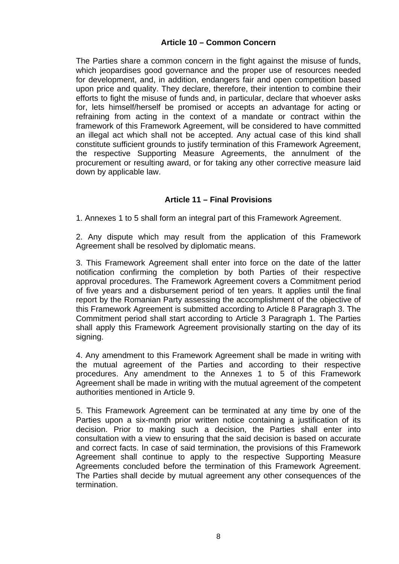#### **Article 10 – Common Concern**

The Parties share a common concern in the fight against the misuse of funds, which jeopardises good governance and the proper use of resources needed for development, and, in addition, endangers fair and open competition based upon price and quality. They declare, therefore, their intention to combine their efforts to fight the misuse of funds and, in particular, declare that whoever asks for, lets himself/herself be promised or accepts an advantage for acting or refraining from acting in the context of a mandate or contract within the framework of this Framework Agreement, will be considered to have committed an illegal act which shall not be accepted. Any actual case of this kind shall constitute sufficient grounds to justify termination of this Framework Agreement, the respective Supporting Measure Agreements, the annulment of the procurement or resulting award, or for taking any other corrective measure laid down by applicable law.

#### **Article 11 – Final Provisions**

1. Annexes 1 to 5 shall form an integral part of this Framework Agreement.

2. Any dispute which may result from the application of this Framework Agreement shall be resolved by diplomatic means.

3. This Framework Agreement shall enter into force on the date of the latter notification confirming the completion by both Parties of their respective approval procedures. The Framework Agreement covers a Commitment period of five years and a disbursement period of ten years. It applies until the final report by the Romanian Party assessing the accomplishment of the objective of this Framework Agreement is submitted according to Article 8 Paragraph 3. The Commitment period shall start according to Article 3 Paragraph 1. The Parties shall apply this Framework Agreement provisionally starting on the day of its signing.

4. Any amendment to this Framework Agreement shall be made in writing with the mutual agreement of the Parties and according to their respective procedures. Any amendment to the Annexes 1 to 5 of this Framework Agreement shall be made in writing with the mutual agreement of the competent authorities mentioned in Article 9.

5. This Framework Agreement can be terminated at any time by one of the Parties upon a six-month prior written notice containing a justification of its decision. Prior to making such a decision, the Parties shall enter into consultation with a view to ensuring that the said decision is based on accurate and correct facts. In case of said termination, the provisions of this Framework Agreement shall continue to apply to the respective Supporting Measure Agreements concluded before the termination of this Framework Agreement. The Parties shall decide by mutual agreement any other consequences of the termination.